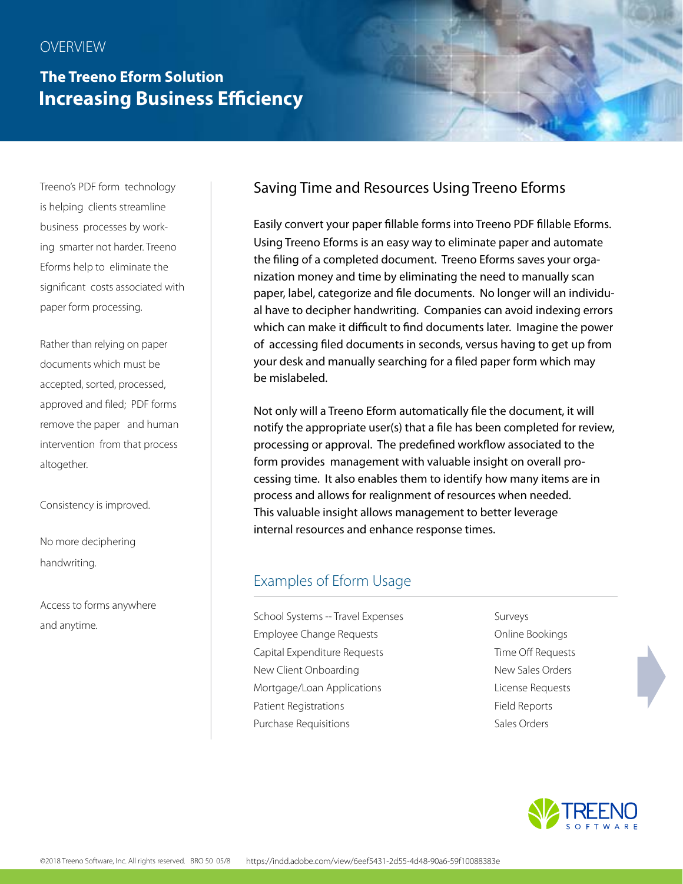# **The Treeno Eform Solution Increasing Business Efficiency**

Treeno's PDF form technology is helping clients streamline business processes by working smarter not harder. Treeno Eforms help to eliminate the significant costs associated with paper form processing.

Rather than relying on paper documents which must be accepted, sorted, processed, approved and filed; PDF forms remove the paper and human intervention from that process altogether.

Consistency is improved.

No more deciphering handwriting.

Access to forms anywhere and anytime.

## Saving Time and Resources Using Treeno Eforms

Easily convert your paper fillable forms into Treeno PDF fillable Eforms. Using Treeno Eforms is an easy way to eliminate paper and automate the filing of a completed document. Treeno Eforms saves your organization money and time by eliminating the need to manually scan paper, label, categorize and file documents. No longer will an individual have to decipher handwriting. Companies can avoid indexing errors which can make it difficult to find documents later. Imagine the power of accessing filed documents in seconds, versus having to get up from your desk and manually searching for a filed paper form which may be mislabeled.

Not only will a Treeno Eform automatically file the document, it will notify the appropriate user(s) that a file has been completed for review, processing or approval. The predefined workflow associated to the form provides management with valuable insight on overall processing time. It also enables them to identify how many items are in process and allows for realignment of resources when needed. This valuable insight allows management to better leverage internal resources and enhance response times.

#### Examples of Eform Usage

School Systems -- Travel Expenses Surveys Employee Change Requests **Employee Change Requests Conline Bookings** Capital Expenditure Requests Time Off Requests New Client Onboarding New Sales Orders Mortgage/Loan Applications **License Requests** Patient Registrations **Field Reports** Purchase Requisitions **Sales Orders** Sales Orders